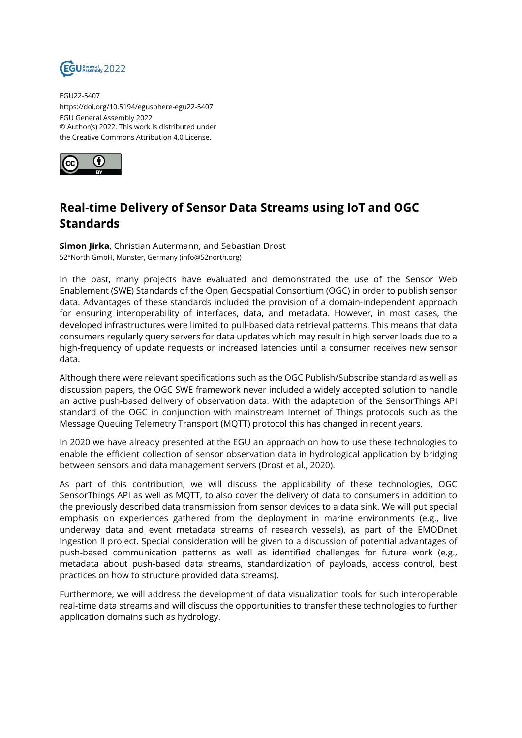

EGU22-5407 https://doi.org/10.5194/egusphere-egu22-5407 EGU General Assembly 2022 © Author(s) 2022. This work is distributed under the Creative Commons Attribution 4.0 License.



## **Real-time Delivery of Sensor Data Streams using IoT and OGC Standards**

**Simon Jirka**, Christian Autermann, and Sebastian Drost 52°North GmbH, Münster, Germany (info@52north.org)

In the past, many projects have evaluated and demonstrated the use of the Sensor Web Enablement (SWE) Standards of the Open Geospatial Consortium (OGC) in order to publish sensor data. Advantages of these standards included the provision of a domain-independent approach for ensuring interoperability of interfaces, data, and metadata. However, in most cases, the developed infrastructures were limited to pull-based data retrieval patterns. This means that data consumers regularly query servers for data updates which may result in high server loads due to a high-frequency of update requests or increased latencies until a consumer receives new sensor data.

Although there were relevant specifications such as the OGC Publish/Subscribe standard as well as discussion papers, the OGC SWE framework never included a widely accepted solution to handle an active push-based delivery of observation data. With the adaptation of the SensorThings API standard of the OGC in conjunction with mainstream Internet of Things protocols such as the Message Queuing Telemetry Transport (MQTT) protocol this has changed in recent years.

In 2020 we have already presented at the EGU an approach on how to use these technologies to enable the efficient collection of sensor observation data in hydrological application by bridging between sensors and data management servers (Drost et al., 2020).

As part of this contribution, we will discuss the applicability of these technologies, OGC SensorThings API as well as MQTT, to also cover the delivery of data to consumers in addition to the previously described data transmission from sensor devices to a data sink. We will put special emphasis on experiences gathered from the deployment in marine environments (e.g., live underway data and event metadata streams of research vessels), as part of the EMODnet Ingestion II project. Special consideration will be given to a discussion of potential advantages of push-based communication patterns as well as identified challenges for future work (e.g., metadata about push-based data streams, standardization of payloads, access control, best practices on how to structure provided data streams).

Furthermore, we will address the development of data visualization tools for such interoperable real-time data streams and will discuss the opportunities to transfer these technologies to further application domains such as hydrology.